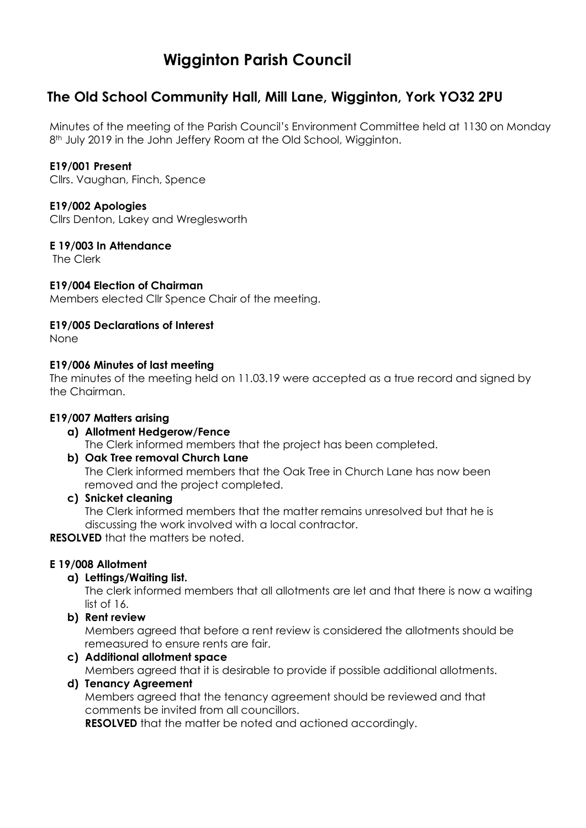# **Wigginton Parish Council**

# **The Old School Community Hall, Mill Lane, Wigginton, York YO32 2PU**

Minutes of the meeting of the Parish Council's Environment Committee held at 1130 on Monday 8<sup>th</sup> July 2019 in the John Jeffery Room at the Old School, Wigginton.

# **E19/001 Present**

Cllrs. Vaughan, Finch, Spence

# **E19/002 Apologies**

Cllrs Denton, Lakey and Wreglesworth

### **E 19/003 In Attendance**

The Clerk

### **E19/004 Election of Chairman**

Members elected Cllr Spence Chair of the meeting.

### **E19/005 Declarations of Interest**

None

### **E19/006 Minutes of last meeting**

The minutes of the meeting held on 11.03.19 were accepted as a true record and signed by the Chairman.

# **E19/007 Matters arising**

#### **a) Allotment Hedgerow/Fence** The Clerk informed members that the project has been completed.

# **b) Oak Tree removal Church Lane**

The Clerk informed members that the Oak Tree in Church Lane has now been removed and the project completed.

**c) Snicket cleaning**

The Clerk informed members that the matter remains unresolved but that he is discussing the work involved with a local contractor.

**RESOLVED** that the matters be noted.

# **E 19/008 Allotment**

# **a) Lettings/Waiting list.**

The clerk informed members that all allotments are let and that there is now a waiting list of 16.

**b) Rent review**

Members agreed that before a rent review is considered the allotments should be remeasured to ensure rents are fair.

# **c) Additional allotment space**

Members agreed that it is desirable to provide if possible additional allotments.

# **d) Tenancy Agreement**

Members agreed that the tenancy agreement should be reviewed and that comments be invited from all councillors.

**RESOLVED** that the matter be noted and actioned accordingly.